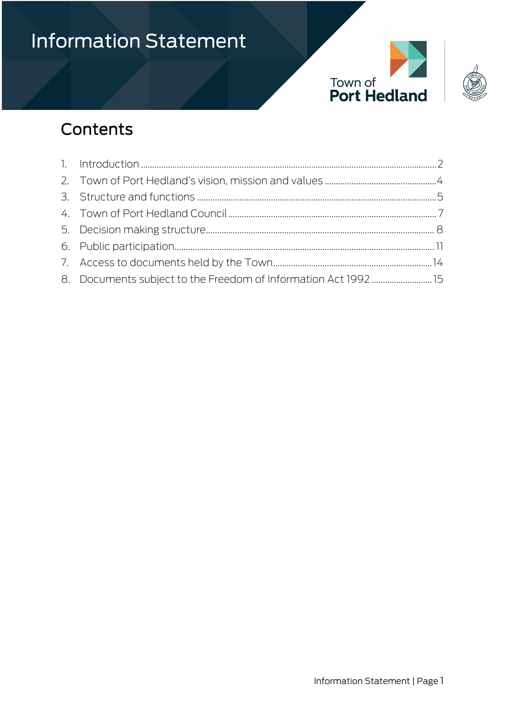



## Contents

| 8. Documents subject to the Freedom of Information Act 1992 15 |  |
|----------------------------------------------------------------|--|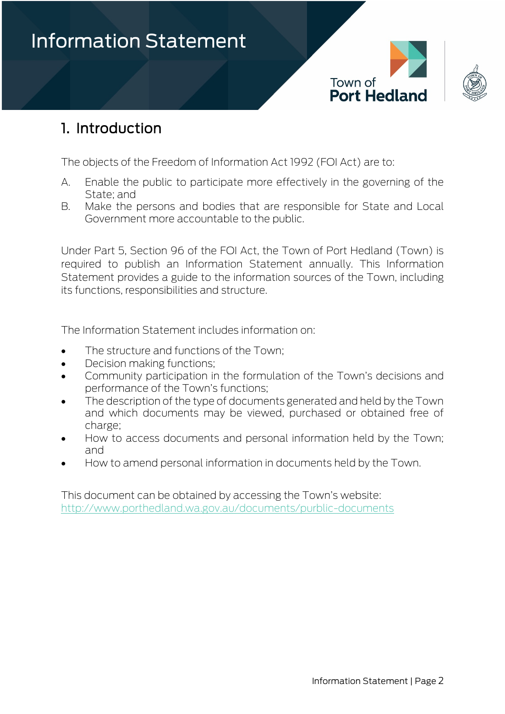



### <span id="page-1-0"></span>1. Introduction

The objects of the Freedom of Information Act 1992 (FOI Act) are to:

- A. Enable the public to participate more effectively in the governing of the State; and
- B. Make the persons and bodies that are responsible for State and Local Government more accountable to the public.

Under Part 5, Section 96 of the FOI Act, the Town of Port Hedland (Town) is required to publish an Information Statement annually. This Information Statement provides a guide to the information sources of the Town, including its functions, responsibilities and structure.

The Information Statement includes information on:

- The structure and functions of the Town:
- Decision making functions;
- Community participation in the formulation of the Town's decisions and performance of the Town's functions;
- The description of the type of documents generated and held by the Town and which documents may be viewed, purchased or obtained free of charge;
- How to access documents and personal information held by the Town; and
- How to amend personal information in documents held by the Town.

This document can be obtained by accessing the Town's website: <http://www.porthedland.wa.gov.au/documents/purblic-documents>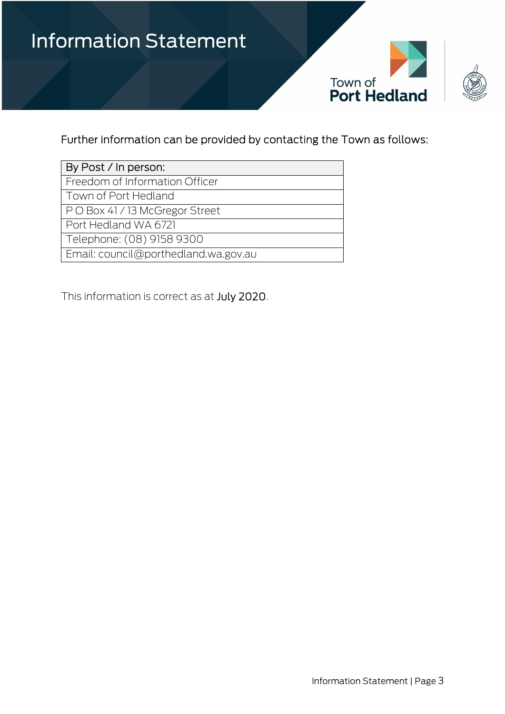

#### Further information can be provided by contacting the Town as follows:

| By Post / In person:                 |
|--------------------------------------|
| Freedom of Information Officer       |
| Town of Port Hedland                 |
| PO Box 41/13 McGregor Street         |
| Port Hedland WA 6721                 |
| Telephone: (08) 9158 9300            |
| Email: council@porthedland.wa.gov.au |

This information is correct as at July 2020.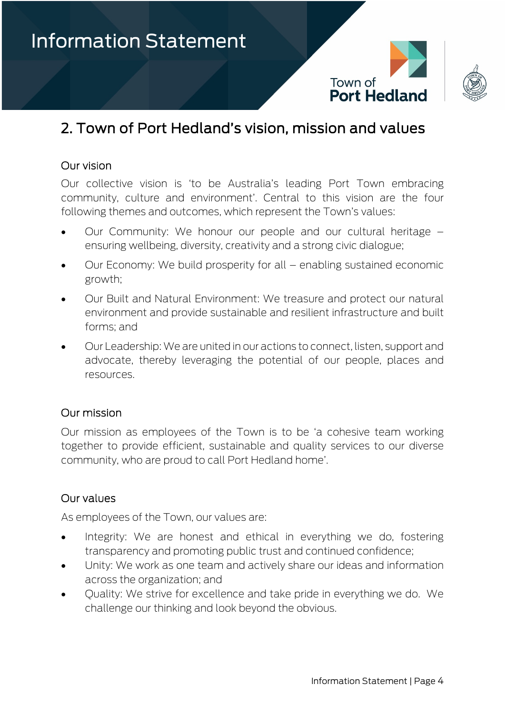



### <span id="page-3-0"></span>2. Town of Port Hedland's vision, mission and values

#### Our vision

Our collective vision is 'to be Australia's leading Port Town embracing community, culture and environment'. Central to this vision are the four following themes and outcomes, which represent the Town's values:

- Our Community: We honour our people and our cultural heritage ensuring wellbeing, diversity, creativity and a strong civic dialogue;
- Our Economy: We build prosperity for all enabling sustained economic growth;
- Our Built and Natural Environment: We treasure and protect our natural environment and provide sustainable and resilient infrastructure and built forms; and
- Our Leadership: We are united in our actions to connect, listen, support and advocate, thereby leveraging the potential of our people, places and resources.

#### Our mission

Our mission as employees of the Town is to be 'a cohesive team working together to provide efficient, sustainable and quality services to our diverse community, who are proud to call Port Hedland home'.

#### Our values

As employees of the Town, our values are:

- Integrity: We are honest and ethical in everything we do, fostering transparency and promoting public trust and continued confidence;
- Unity: We work as one team and actively share our ideas and information across the organization; and
- Quality: We strive for excellence and take pride in everything we do. We challenge our thinking and look beyond the obvious.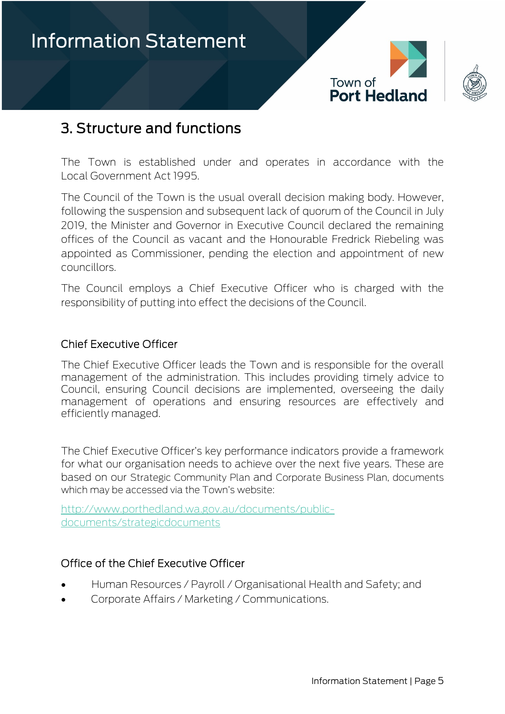



### <span id="page-4-0"></span>3. Structure and functions

The Town is established under and operates in accordance with the Local Government Act 1995.

The Council of the Town is the usual overall decision making body. However, following the suspension and subsequent lack of quorum of the Council in July 2019, the Minister and Governor in Executive Council declared the remaining offices of the Council as vacant and the Honourable Fredrick Riebeling was appointed as Commissioner, pending the election and appointment of new councillors.

The Council employs a Chief Executive Officer who is charged with the responsibility of putting into effect the decisions of the Council.

#### Chief Executive Officer

The Chief Executive Officer leads the Town and is responsible for the overall management of the administration. This includes providing timely advice to Council, ensuring Council decisions are implemented, overseeing the daily management of operations and ensuring resources are effectively and efficiently managed.

The Chief Executive Officer's key performance indicators provide a framework for what our organisation needs to achieve over the next five years. These are based on our [Strategic Community Plan](https://www.porthedland.wa.gov.au/documents/2650/strategic-community-plan-2018-2028) and [Corporate Business Plan,](https://www.porthedland.wa.gov.au/documents/2753/corporate-business-plan-2018-2028) documents which may be accessed via the Town's website:

[http://www.porthedland.wa.gov.au/documents/public](http://www.porthedland.wa.gov.au/documents/public-documents/strategicdocuments)[documents/strategicdocuments](http://www.porthedland.wa.gov.au/documents/public-documents/strategicdocuments)

#### Office of the Chief Executive Officer

- Human Resources / Payroll / Organisational Health and Safety; and
- Corporate Affairs / Marketing / Communications.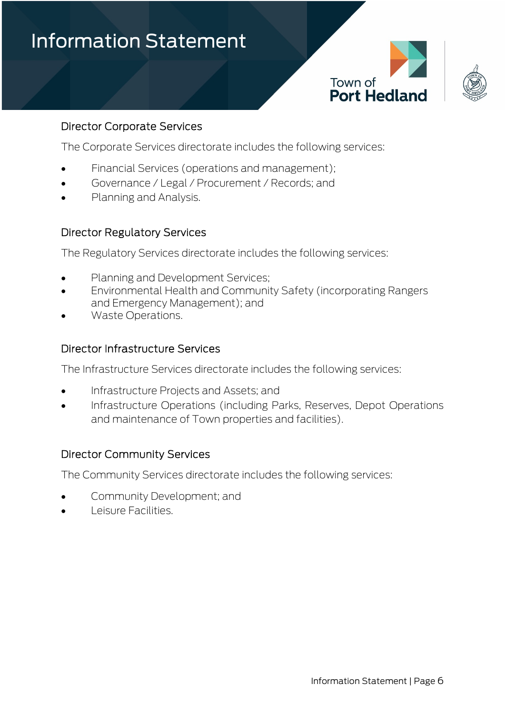



#### Director Corporate Services

The Corporate Services directorate includes the following services:

- Financial Services (operations and management);
- Governance / Legal / Procurement / Records; and
- Planning and Analysis.

#### Director Regulatory Services

The Regulatory Services directorate includes the following services:

- Planning and Development Services;
- Environmental Health and Community Safety (incorporating Rangers and Emergency Management); and
- Waste Operations.

#### Director Infrastructure Services

The Infrastructure Services directorate includes the following services:

- Infrastructure Projects and Assets; and
- Infrastructure Operations (including Parks, Reserves, Depot Operations and maintenance of Town properties and facilities).

#### Director Community Services

The Community Services directorate includes the following services:

- Community Development; and
- Leisure Facilities.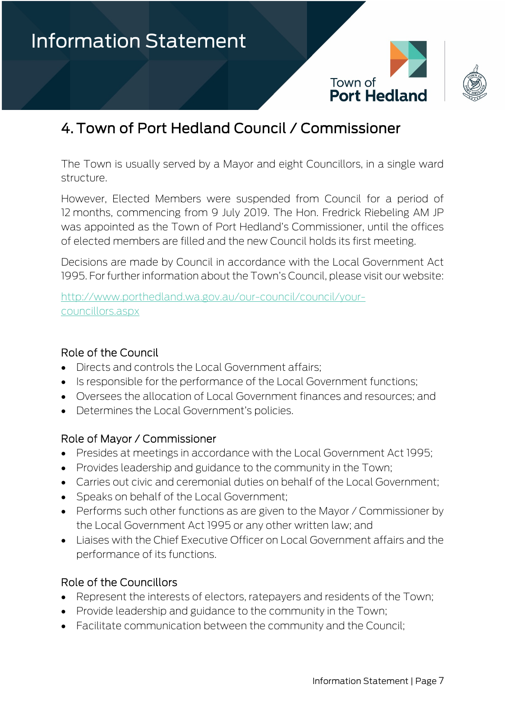



### <span id="page-6-0"></span>4. Town of Port Hedland Council / Commissioner

The Town is usually served by a Mayor and eight Councillors, in a single ward structure.

However, Elected Members were suspended from Council for a period of 12 months, commencing from 9 July 2019. The Hon. Fredrick Riebeling AM JP was appointed as the Town of Port Hedland's Commissioner, until the offices of elected members are filled and the new Council holds its first meeting.

Decisions are made by Council in accordance with the Local Government Act 1995. For further information about the Town's Council, please visit our website:

[http://www.porthedland.wa.gov.au/our-council/council/your](http://www.porthedland.wa.gov.au/our-council/council/your-councillors.aspx)[councillors.aspx](http://www.porthedland.wa.gov.au/our-council/council/your-councillors.aspx)

#### Role of the Council

- Directs and controls the Local Government affairs;
- Is responsible for the performance of the Local Government functions;
- Oversees the allocation of Local Government finances and resources; and
- Determines the Local Government's policies.

#### Role of Mayor / Commissioner

- Presides at meetings in accordance with the Local Government Act 1995;
- Provides leadership and guidance to the community in the Town;
- Carries out civic and ceremonial duties on behalf of the Local Government;
- Speaks on behalf of the Local Government;
- Performs such other functions as are given to the Mayor / Commissioner by the Local Government Act 1995 or any other written law; and
- Liaises with the Chief Executive Officer on Local Government affairs and the performance of its functions.

#### Role of the Councillors

- Represent the interests of electors, ratepayers and residents of the Town;
- Provide leadership and guidance to the community in the Town;
- Facilitate communication between the community and the Council;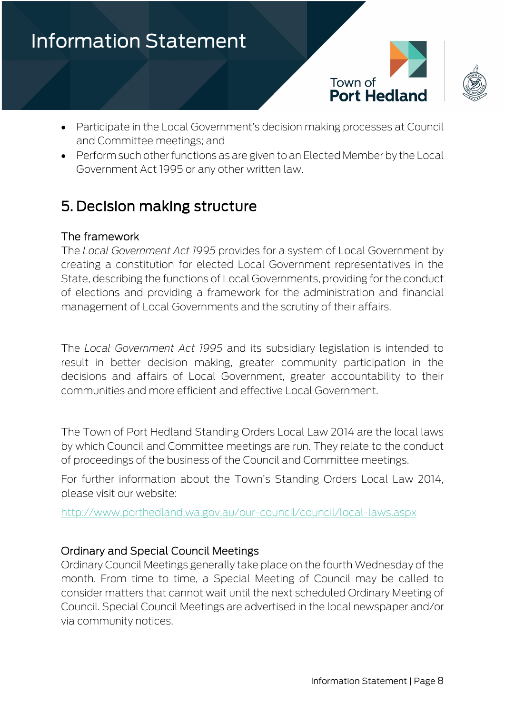



- Participate in the Local Government's decision making processes at Council and Committee meetings; and
- Perform such other functions as are given to an Elected Member by the Local Government Act 1995 or any other written law.

### <span id="page-7-0"></span>5. Decision making structure

#### The framework

The *Local Government Act 1995* provides for a system of Local Government by creating a constitution for elected Local Government representatives in the State, describing the functions of Local Governments, providing for the conduct of elections and providing a framework for the administration and financial management of Local Governments and the scrutiny of their affairs.

The *Local Government Act 1995* and its subsidiary legislation is intended to result in better decision making, greater community participation in the decisions and affairs of Local Government, greater accountability to their communities and more efficient and effective Local Government.

The Town of Port Hedland Standing Orders Local Law 2014 are the local laws by which Council and Committee meetings are run. They relate to the conduct of proceedings of the business of the Council and Committee meetings.

For further information about the Town's Standing Orders Local Law 2014, please visit our website:

<http://www.porthedland.wa.gov.au/our-council/council/local-laws.aspx>

#### Ordinary and Special Council Meetings

Ordinary Council Meetings generally take place on the fourth Wednesday of the month. From time to time, a Special Meeting of Council may be called to consider matters that cannot wait until the next scheduled Ordinary Meeting of Council. Special Council Meetings are advertised in the local newspaper and/or via community notices.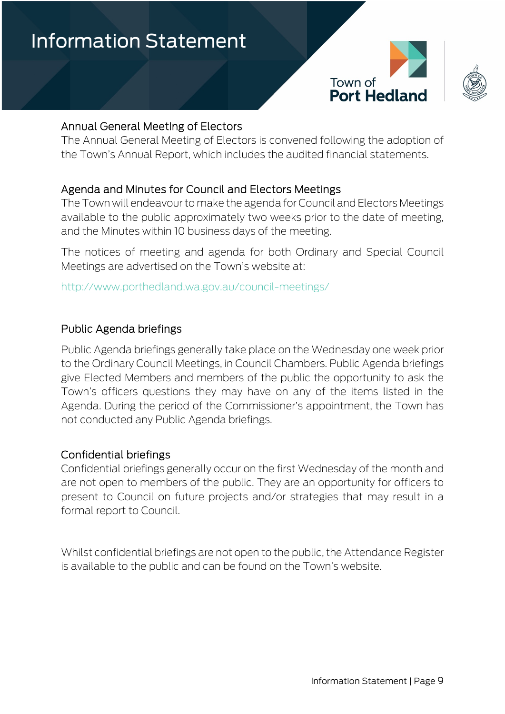



#### Annual General Meeting of Electors

The Annual General Meeting of Electors is convened following the adoption of the Town's Annual Report, which includes the audited financial statements.

#### Agenda and Minutes for Council and Electors Meetings

The Town will endeavour to make the agenda for Council and Electors Meetings available to the public approximately two weeks prior to the date of meeting, and the Minutes within 10 business days of the meeting.

The notices of meeting and agenda for both Ordinary and Special Council Meetings are advertised on the Town's website at:

<http://www.porthedland.wa.gov.au/council-meetings/>

#### Public Agenda briefings

Public Agenda briefings generally take place on the Wednesday one week prior to the Ordinary Council Meetings, in Council Chambers. Public Agenda briefings give Elected Members and members of the public the opportunity to ask the Town's officers questions they may have on any of the items listed in the Agenda. During the period of the Commissioner's appointment, the Town has not conducted any Public Agenda briefings.

#### Confidential briefings

Confidential briefings generally occur on the first Wednesday of the month and are not open to members of the public. They are an opportunity for officers to present to Council on future projects and/or strategies that may result in a formal report to Council.

Whilst confidential briefings are not open to the public, the Attendance Register is available to the public and can be found on the Town's website.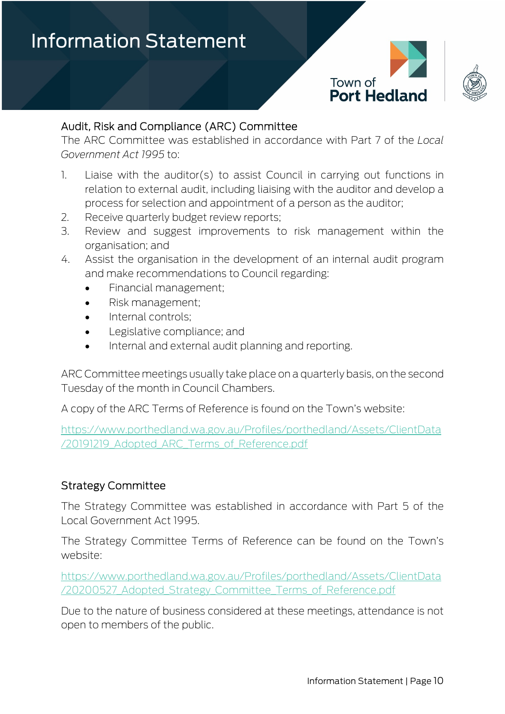



#### Audit, Risk and Compliance (ARC) Committee

The ARC Committee was established in accordance with Part 7 of the *Local Government Act 1995* to:

- 1. Liaise with the auditor(s) to assist Council in carrying out functions in relation to external audit, including liaising with the auditor and develop a process for selection and appointment of a person as the auditor;
- 2. Receive quarterly budget review reports;
- 3. Review and suggest improvements to risk management within the organisation; and
- 4. Assist the organisation in the development of an internal audit program and make recommendations to Council regarding:
	- Financial management;
	- Risk management;
	- Internal controls;
	- Legislative compliance; and
	- Internal and external audit planning and reporting.

ARC Committee meetings usually take place on a quarterly basis, on the second Tuesday of the month in Council Chambers.

A copy of the ARC Terms of Reference is found on the Town's website:

[https://www.porthedland.wa.gov.au/Profiles/porthedland/Assets/ClientData](https://www.porthedland.wa.gov.au/Profiles/porthedland/Assets/ClientData/20191219_Adopted_ARC_Terms_of_Reference.pdf) [/20191219\\_Adopted\\_ARC\\_Terms\\_of\\_Reference.pdf](https://www.porthedland.wa.gov.au/Profiles/porthedland/Assets/ClientData/20191219_Adopted_ARC_Terms_of_Reference.pdf)

#### Strategy Committee

The Strategy Committee was established in accordance with Part 5 of the Local Government Act 1995.

The Strategy Committee Terms of Reference can be found on the Town's website:

[https://www.porthedland.wa.gov.au/Profiles/porthedland/Assets/ClientData](https://www.porthedland.wa.gov.au/Profiles/porthedland/Assets/ClientData/20200527_Adopted_Strategy_Committee_Terms_of_Reference.pdf) [/20200527\\_Adopted\\_Strategy\\_Committee\\_Terms\\_of\\_Reference.pdf](https://www.porthedland.wa.gov.au/Profiles/porthedland/Assets/ClientData/20200527_Adopted_Strategy_Committee_Terms_of_Reference.pdf)

Due to the nature of business considered at these meetings, attendance is not open to members of the public.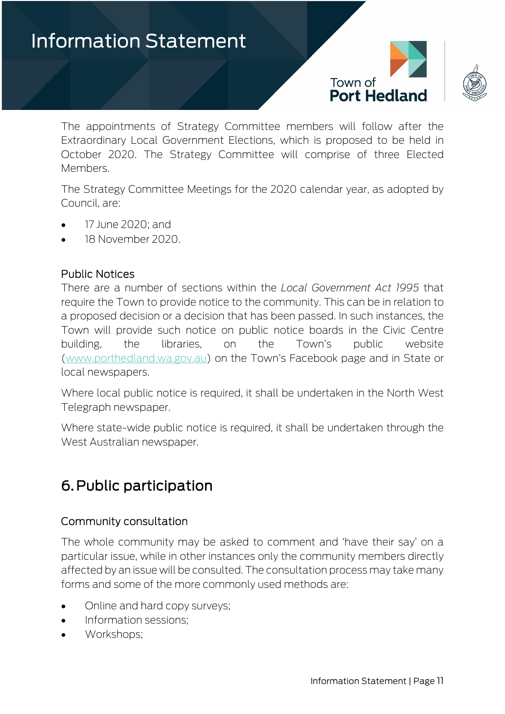



The appointments of Strategy Committee members will follow after the Extraordinary Local Government Elections, which is proposed to be held in October 2020. The Strategy Committee will comprise of three Elected Members.

The Strategy Committee Meetings for the 2020 calendar year, as adopted by Council, are:

- 17 June 2020; and
- 18 November 2020.

#### Public Notices

There are a number of sections within the *Local Government Act 1995* that require the Town to provide notice to the community. This can be in relation to a proposed decision or a decision that has been passed. In such instances, the Town will provide such notice on public notice boards in the Civic Centre building, the libraries, on the Town's public website [\(www.porthedland.wa.gov.au\)](http://www.porthedland.wa.gov.au/) on the Town's Facebook page and in State or local newspapers.

Where local public notice is required, it shall be undertaken in the North West Telegraph newspaper.

Where state-wide public notice is required, it shall be undertaken through the West Australian newspaper.

### <span id="page-10-0"></span>6. Public participation

#### Community consultation

The whole community may be asked to comment and 'have their say' on a particular issue, while in other instances only the community members directly affected by an issue will be consulted. The consultation process may take many forms and some of the more commonly used methods are:

- Online and hard copy surveys;
- Information sessions;
- Workshops;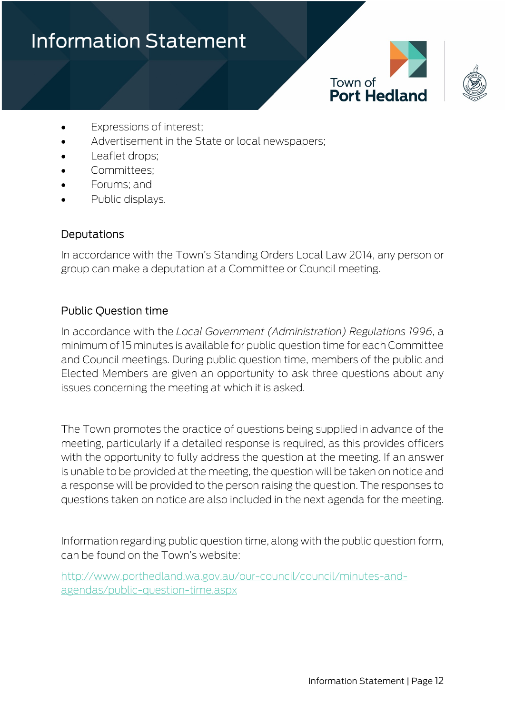





- Expressions of interest;
- Advertisement in the State or local newspapers;
- Leaflet drops;
- Committees:
- Forums; and
- Public displays.

#### Deputations

In accordance with the Town's Standing Orders Local Law 2014, any person or group can make a deputation at a Committee or Council meeting.

#### Public Question time

In accordance with the *Local Government (Administration) Regulations 1996*, a minimum of 15 minutes is available for public question time for each Committee and Council meetings. During public question time, members of the public and Elected Members are given an opportunity to ask three questions about any issues concerning the meeting at which it is asked.

The Town promotes the practice of questions being supplied in advance of the meeting, particularly if a detailed response is required, as this provides officers with the opportunity to fully address the question at the meeting. If an answer is unable to be provided at the meeting, the question will be taken on notice and a response will be provided to the person raising the question. The responses to questions taken on notice are also included in the next agenda for the meeting.

Information regarding public question time, along with the public question form, can be found on the Town's website:

[http://www.porthedland.wa.gov.au/our-council/council/minutes-and](http://www.porthedland.wa.gov.au/our-council/council/minutes-and-agendas/public-question-time.aspx)[agendas/public-question-time.aspx](http://www.porthedland.wa.gov.au/our-council/council/minutes-and-agendas/public-question-time.aspx)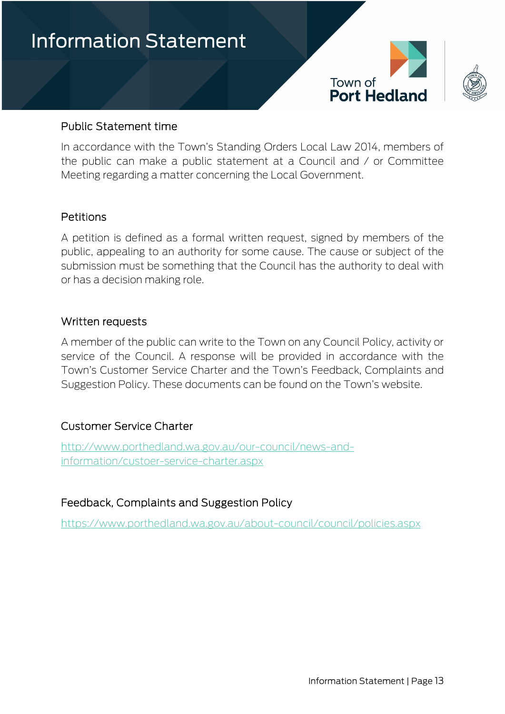



#### Public Statement time

In accordance with the Town's Standing Orders Local Law 2014, members of the public can make a public statement at a Council and / or Committee Meeting regarding a matter concerning the Local Government.

#### Petitions

A petition is defined as a formal written request, signed by members of the public, appealing to an authority for some cause. The cause or subject of the submission must be something that the Council has the authority to deal with or has a decision making role.

#### Written requests

A member of the public can write to the Town on any Council Policy, activity or service of the Council. A response will be provided in accordance with the Town's Customer Service Charter and the Town's Feedback, Complaints and Suggestion Policy. These documents can be found on the Town's website.

#### Customer Service Charter

[http://www.porthedland.wa.gov.au/our-council/news-and](http://www.porthedland.wa.gov.au/our-council/news-and-information/custoer-service-charter.aspx)[information/custoer-service-charter.aspx](http://www.porthedland.wa.gov.au/our-council/news-and-information/custoer-service-charter.aspx)

#### Feedback, Complaints and Suggestion Policy

<https://www.porthedland.wa.gov.au/about-council/council/policies.aspx>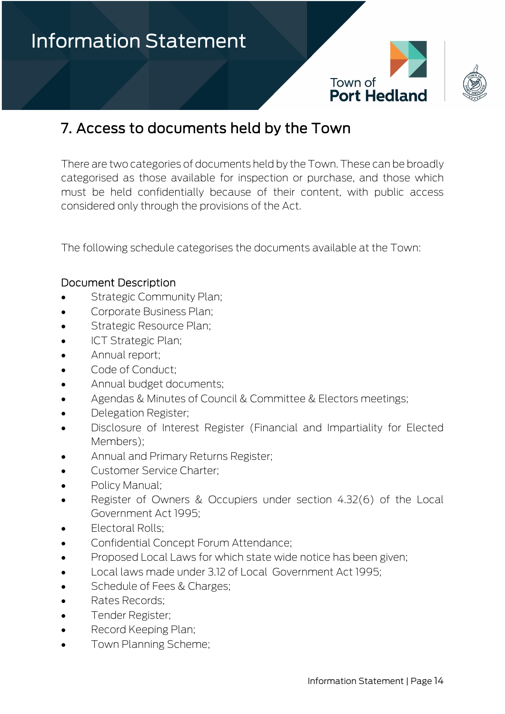



### <span id="page-13-0"></span>7. Access to documents held by the Town

There are two categories of documents held by the Town. These can be broadly categorised as those available for inspection or purchase, and those which must be held confidentially because of their content, with public access considered only through the provisions of the Act.

The following schedule categorises the documents available at the Town:

#### Document Description

- Strategic Community Plan;
- Corporate Business Plan;
- Strategic Resource Plan;
- ICT Strategic Plan;
- Annual report;
- Code of Conduct:
- Annual budget documents;
- Agendas & Minutes of Council & Committee & Electors meetings;
- Delegation Register;
- Disclosure of Interest Register (Financial and Impartiality for Elected Members);
- Annual and Primary Returns Register;
- Customer Service Charter;
- Policy Manual;
- Register of Owners & Occupiers under section 4.32(6) of the Local Government Act 1995;
- Electoral Rolls;
- Confidential Concept Forum Attendance;
- Proposed Local Laws for which state wide notice has been given;
- Local laws made under 3.12 of Local Government Act 1995;
- Schedule of Fees & Charges;
- Rates Records;
- Tender Register;
- Record Keeping Plan;
- Town Planning Scheme;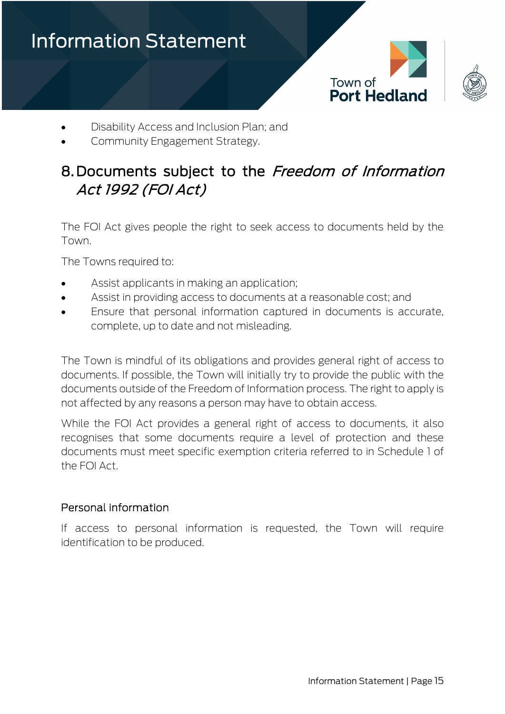

- Disability Access and Inclusion Plan; and
- Community Engagement Strategy.

### <span id="page-14-0"></span>8. Documents subject to the Freedom of Information Act 1992 (FOI Act)

The FOI Act gives people the right to seek access to documents held by the Town.

The Towns required to:

- Assist applicants in making an application;
- Assist in providing access to documents at a reasonable cost; and
- Ensure that personal information captured in documents is accurate, complete, up to date and not misleading.

The Town is mindful of its obligations and provides general right of access to documents. If possible, the Town will initially try to provide the public with the documents outside of the Freedom of Information process. The right to apply is not affected by any reasons a person may have to obtain access.

While the FOI Act provides a general right of access to documents, it also recognises that some documents require a level of protection and these documents must meet specific exemption criteria referred to in Schedule 1 of the FOI Act.

#### Personal information

If access to personal information is requested, the Town will require identification to be produced.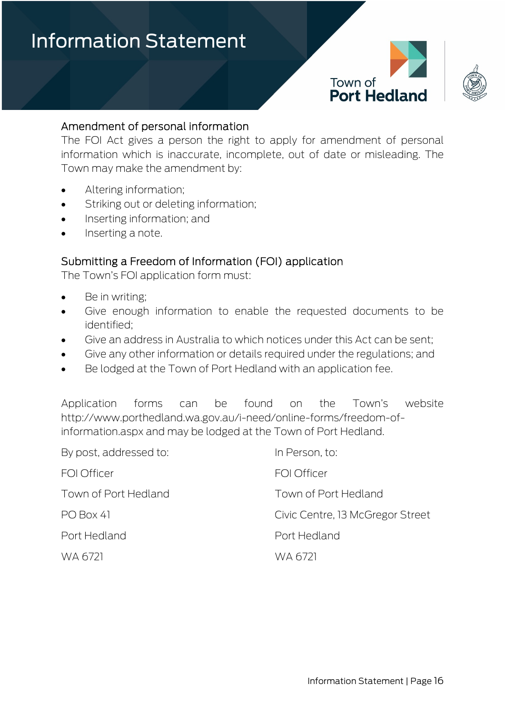



#### Amendment of personal information

The FOI Act gives a person the right to apply for amendment of personal information which is inaccurate, incomplete, out of date or misleading. The Town may make the amendment by:

- Altering information;
- Striking out or deleting information;
- Inserting information; and
- Inserting a note.

#### Submitting a Freedom of Information (FOI) application

The Town's FOI application form must:

- Be in writing;
- Give enough information to enable the requested documents to be identified;
- Give an address in Australia to which notices under this Act can be sent;
- Give any other information or details required under the regulations; and
- Be lodged at the Town of Port Hedland with an application fee.

Application forms can be found on the Town's website [http://www.porthedland.wa.gov.au/i-need/online-forms/freedom-of](http://www.porthedland.wa.gov.au/i-need/online-forms/freedom-of-information.aspx)[information.aspx](http://www.porthedland.wa.gov.au/i-need/online-forms/freedom-of-information.aspx) and may be lodged at the Town of Port Hedland.

| By post, addressed to: | In Person, to:                   |
|------------------------|----------------------------------|
| <b>FOI Officer</b>     | FOI Officer                      |
| Town of Port Hedland   | Town of Port Hedland             |
| PO Box 41              | Civic Centre, 13 McGregor Street |
| Port Hedland           | Port Hedland                     |
| WA 6721                | WA 6721                          |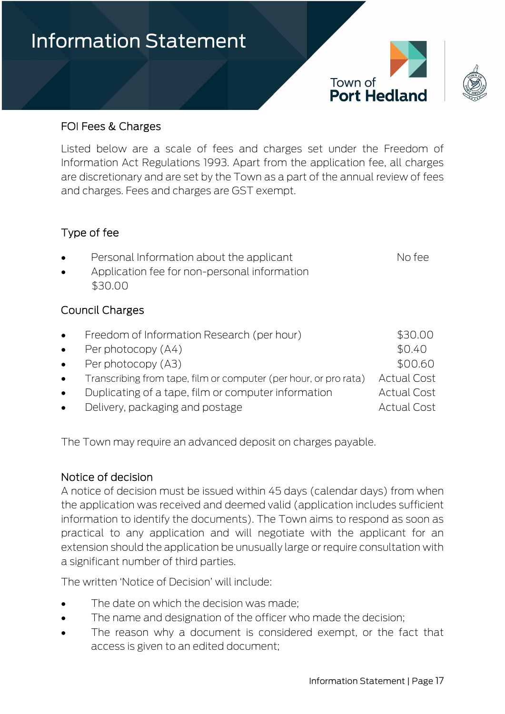



#### FOI Fees & Charges

Listed below are a scale of fees and charges set under the Freedom of Information Act Regulations 1993. Apart from the application fee, all charges are discretionary and are set by the Town as a part of the annual review of fees and charges. Fees and charges are GST exempt.

#### Type of fee

|  | Personal Information about the applicant | No fee |
|--|------------------------------------------|--------|
|--|------------------------------------------|--------|

• Application fee for non-personal information \$30.00

#### Council Charges

| $\bullet$ | Freedom of Information Research (per hour)                         | \$30.00            |
|-----------|--------------------------------------------------------------------|--------------------|
|           | • Per photocopy $(A4)$                                             | \$0.40             |
|           | • Per photocopy $(A3)$                                             | \$00.60            |
|           | • Transcribing from tape, film or computer (per hour, or pro rata) | <b>Actual Cost</b> |
| $\bullet$ | Duplicating of a tape, film or computer information                | <b>Actual Cost</b> |
| $\bullet$ | Delivery, packaging and postage                                    | <b>Actual Cost</b> |

The Town may require an advanced deposit on charges payable.

#### Notice of decision

A notice of decision must be issued within 45 days (calendar days) from when the application was received and deemed valid (application includes sufficient information to identify the documents). The Town aims to respond as soon as practical to any application and will negotiate with the applicant for an extension should the application be unusually large or require consultation with a significant number of third parties.

The written 'Notice of Decision' will include:

- The date on which the decision was made:
- The name and designation of the officer who made the decision:
- The reason why a document is considered exempt, or the fact that access is given to an edited document;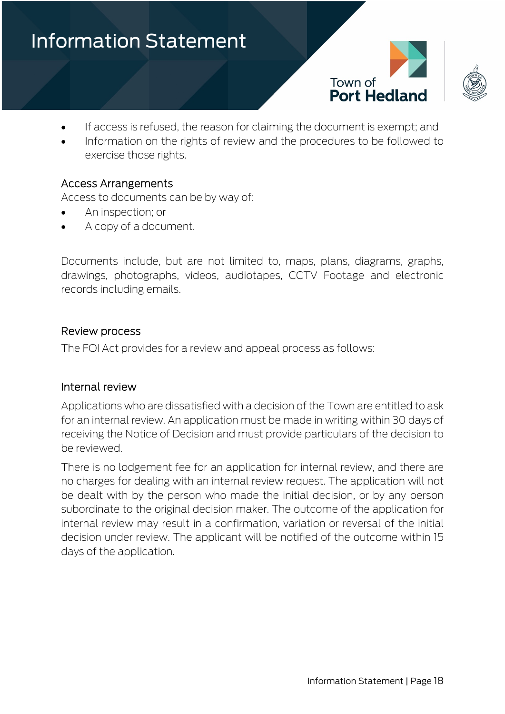



- If access is refused, the reason for claiming the document is exempt; and
- Information on the rights of review and the procedures to be followed to exercise those rights.

#### Access Arrangements

Access to documents can be by way of:

- An inspection; or
- A copy of a document.

Documents include, but are not limited to, maps, plans, diagrams, graphs, drawings, photographs, videos, audiotapes, CCTV Footage and electronic records including emails.

#### Review process

The FOI Act provides for a review and appeal process as follows:

#### Internal review

Applications who are dissatisfied with a decision of the Town are entitled to ask for an internal review. An application must be made in writing within 30 days of receiving the Notice of Decision and must provide particulars of the decision to be reviewed.

There is no lodgement fee for an application for internal review, and there are no charges for dealing with an internal review request. The application will not be dealt with by the person who made the initial decision, or by any person subordinate to the original decision maker. The outcome of the application for internal review may result in a confirmation, variation or reversal of the initial decision under review. The applicant will be notified of the outcome within 15 days of the application.